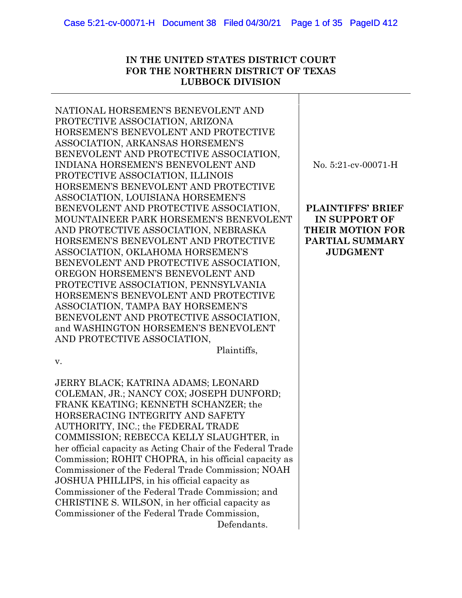### **IN THE UNITED STATES DISTRICT COURT FOR THE NORTHERN DISTRICT OF TEXAS LUBBOCK DIVISION**

NATIONAL HORSEMEN'S BENEVOLENT AND PROTECTIVE ASSOCIATION, ARIZONA HORSEMEN'S BENEVOLENT AND PROTECTIVE ASSOCIATION, ARKANSAS HORSEMEN'S BENEVOLENT AND PROTECTIVE ASSOCIATION, INDIANA HORSEMEN'S BENEVOLENT AND PROTECTIVE ASSOCIATION, ILLINOIS HORSEMEN'S BENEVOLENT AND PROTECTIVE ASSOCIATION, LOUISIANA HORSEMEN'S BENEVOLENT AND PROTECTIVE ASSOCIATION, MOUNTAINEER PARK HORSEMEN'S BENEVOLENT AND PROTECTIVE ASSOCIATION, NEBRASKA HORSEMEN'S BENEVOLENT AND PROTECTIVE ASSOCIATION, OKLAHOMA HORSEMEN'S BENEVOLENT AND PROTECTIVE ASSOCIATION, OREGON HORSEMEN'S BENEVOLENT AND PROTECTIVE ASSOCIATION, PENNSYLVANIA HORSEMEN'S BENEVOLENT AND PROTECTIVE ASSOCIATION, TAMPA BAY HORSEMEN'S BENEVOLENT AND PROTECTIVE ASSOCIATION, and WASHINGTON HORSEMEN'S BENEVOLENT AND PROTECTIVE ASSOCIATION, Plaintiffs, v. JERRY BLACK; KATRINA ADAMS; LEONARD COLEMAN, JR.; NANCY COX; JOSEPH DUNFORD; FRANK KEATING; KENNETH SCHANZER; the HORSERACING INTEGRITY AND SAFETY AUTHORITY, INC.; the FEDERAL TRADE COMMISSION; REBECCA KELLY SLAUGHTER, in her official capacity as Acting Chair of the Federal Trade Commission; ROHIT CHOPRA, in his official capacity as Commissioner of the Federal Trade Commission; NOAH JOSHUA PHILLIPS, in his official capacity as Commissioner of the Federal Trade Commission; and CHRISTINE S. WILSON, in her official capacity as No. 5:21-cv-00071-H **PLAINTIFFS' BRIEF IN SUPPORT OF THEIR MOTION FOR PARTIAL SUMMARY JUDGMENT** 

Commissioner of the Federal Trade Commission,

Defendants.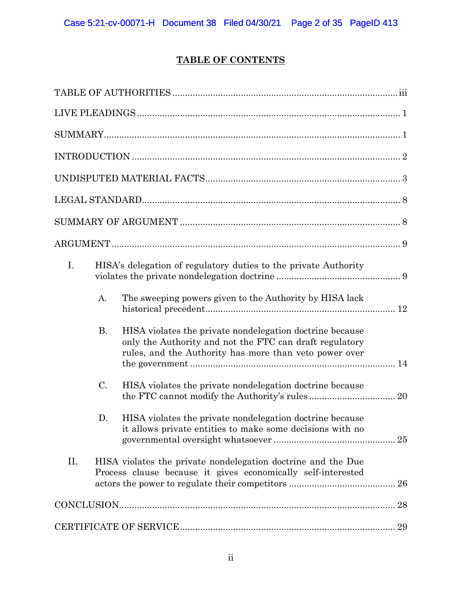# **TABLE OF CONTENTS**

| I.  | HISA's delegation of regulatory duties to the private Authority |                                                                                                                                                                               |  |  |  |
|-----|-----------------------------------------------------------------|-------------------------------------------------------------------------------------------------------------------------------------------------------------------------------|--|--|--|
|     | A.                                                              | The sweeping powers given to the Authority by HISA lack                                                                                                                       |  |  |  |
|     | В.                                                              | HISA violates the private nondelegation doctrine because<br>only the Authority and not the FTC can draft regulatory<br>rules, and the Authority has more than veto power over |  |  |  |
|     | $\mathcal{C}$ .                                                 | HISA violates the private nondelegation doctrine because                                                                                                                      |  |  |  |
|     | D.                                                              | HISA violates the private nondelegation doctrine because<br>it allows private entities to make some decisions with no                                                         |  |  |  |
| II. |                                                                 | HISA violates the private nondelegation doctrine and the Due<br>Process clause because it gives economically self-interested                                                  |  |  |  |
|     |                                                                 |                                                                                                                                                                               |  |  |  |
|     |                                                                 |                                                                                                                                                                               |  |  |  |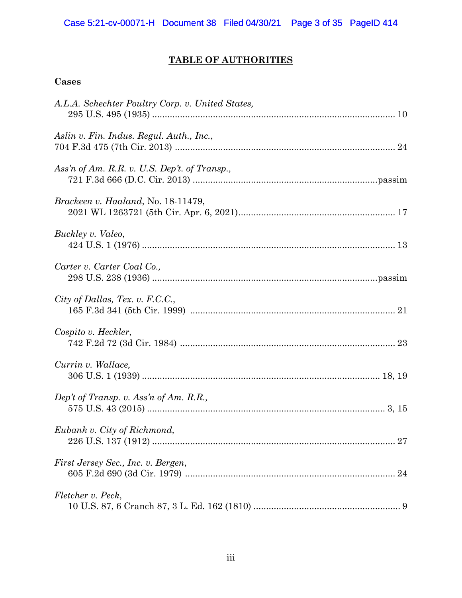# **TABLE OF AUTHORITIES**

## **Cases**

| A.L.A. Schechter Poultry Corp. v. United States, |
|--------------------------------------------------|
| Aslin v. Fin. Indus. Regul. Auth., Inc.,         |
| Ass'n of Am. R.R. v. U.S. Dep't. of Transp.,     |
| Brackeen v. Haaland, No. 18-11479,               |
| Buckley v. Valeo,                                |
| Carter v. Carter Coal Co.,                       |
| City of Dallas, Tex. v. F.C.C.,                  |
| Cospito v. Heckler,                              |
| Currin v. Wallace,                               |
| Dep't of Transp. v. Ass'n of Am. R.R.,           |
| Eubank v. City of Richmond,                      |
| First Jersey Sec., Inc. v. Bergen,               |
| Fletcher v. Peck,                                |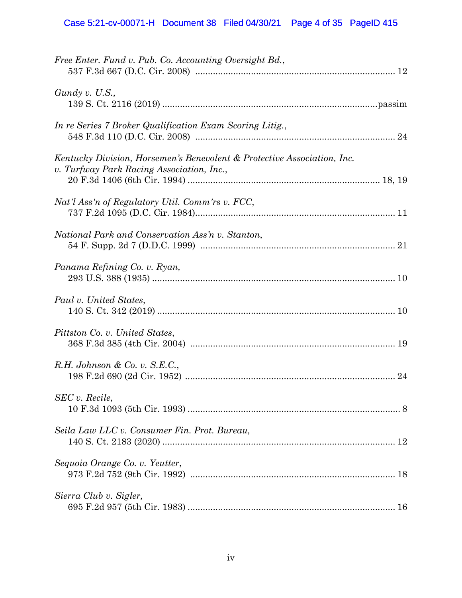| Free Enter. Fund v. Pub. Co. Accounting Oversight Bd.,                                                               |  |
|----------------------------------------------------------------------------------------------------------------------|--|
| $G$ undy v. U.S.,                                                                                                    |  |
| In re Series 7 Broker Qualification Exam Scoring Litig.,                                                             |  |
| Kentucky Division, Horsemen's Benevolent & Protective Association, Inc.<br>v. Turfway Park Racing Association, Inc., |  |
| Nat'l Ass'n of Regulatory Util. Comm'rs v. FCC,                                                                      |  |
| National Park and Conservation Ass'n v. Stanton,                                                                     |  |
| Panama Refining Co. v. Ryan,                                                                                         |  |
| Paul v. United States,                                                                                               |  |
| Pittston Co. v. United States,                                                                                       |  |
| $R.H. Johnson \& Co. v. S.E.C.,$                                                                                     |  |
| SEC v. Recile,                                                                                                       |  |
| Seila Law LLC v. Consumer Fin. Prot. Bureau,                                                                         |  |
| Sequoia Orange Co. v. Yeutter,                                                                                       |  |
| Sierra Club v. Sigler,                                                                                               |  |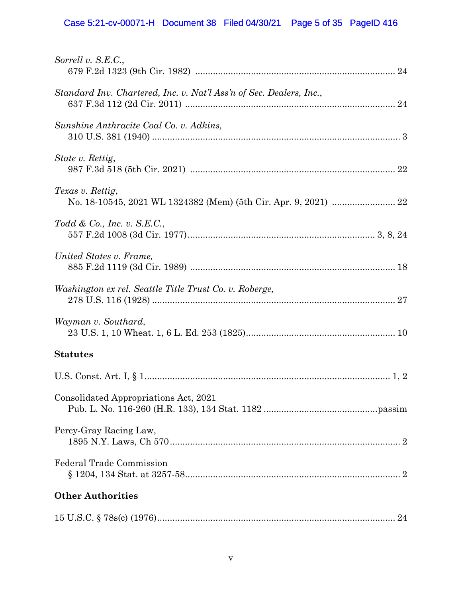# Case 5:21-cv-00071-H Document 38 Filed 04/30/21 Page 5 of 35 PageID 416

| Sorrell v. S.E.C.,                                                  |  |
|---------------------------------------------------------------------|--|
| Standard Inv. Chartered, Inc. v. Nat'l Ass'n of Sec. Dealers, Inc., |  |
| Sunshine Anthracite Coal Co. v. Adkins,                             |  |
| State v. Rettig,                                                    |  |
| Texas v. Rettig,                                                    |  |
| Todd & Co., Inc. v. S.E.C.,                                         |  |
| United States v. Frame,                                             |  |
| Washington ex rel. Seattle Title Trust Co. v. Roberge,              |  |
| Wayman v. Southard,                                                 |  |
| <b>Statutes</b>                                                     |  |
|                                                                     |  |
| Consolidated Appropriations Act, 2021                               |  |
| Percy-Gray Racing Law,                                              |  |
| Federal Trade Commission                                            |  |
| <b>Other Authorities</b>                                            |  |
|                                                                     |  |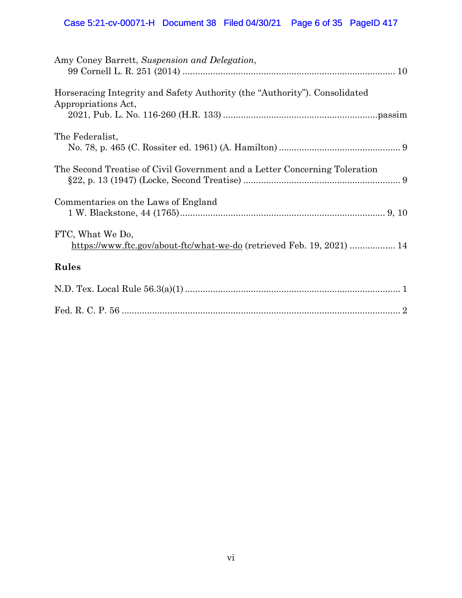# Case 5:21-cv-00071-H Document 38 Filed 04/30/21 Page 6 of 35 PageID 417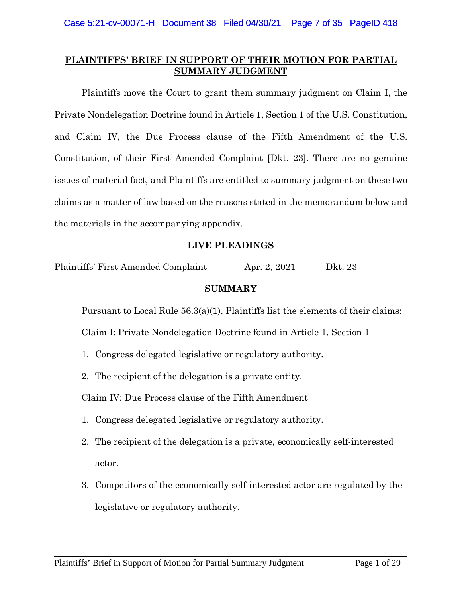## **PLAINTIFFS' BRIEF IN SUPPORT OF THEIR MOTION FOR PARTIAL SUMMARY JUDGMENT**

Plaintiffs move the Court to grant them summary judgment on Claim I, the Private Nondelegation Doctrine found in Article 1, Section 1 of the U.S. Constitution, and Claim IV, the Due Process clause of the Fifth Amendment of the U.S. Constitution, of their First Amended Complaint [Dkt. 23]. There are no genuine issues of material fact, and Plaintiffs are entitled to summary judgment on these two claims as a matter of law based on the reasons stated in the memorandum below and the materials in the accompanying appendix.

## **LIVE PLEADINGS**

Plaintiffs' First Amended Complaint Apr. 2, 2021 Dkt. 23

#### **SUMMARY**

Pursuant to Local Rule 56.3(a)(1), Plaintiffs list the elements of their claims:

Claim I: Private Nondelegation Doctrine found in Article 1, Section 1

- 1. Congress delegated legislative or regulatory authority.
- 2. The recipient of the delegation is a private entity.

Claim IV: Due Process clause of the Fifth Amendment

- 1. Congress delegated legislative or regulatory authority.
- 2. The recipient of the delegation is a private, economically self-interested actor.
- 3. Competitors of the economically self-interested actor are regulated by the legislative or regulatory authority.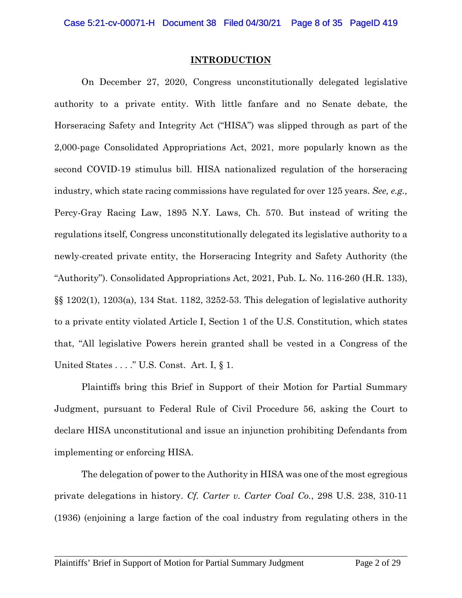#### **INTRODUCTION**

On December 27, 2020, Congress unconstitutionally delegated legislative authority to a private entity. With little fanfare and no Senate debate, the Horseracing Safety and Integrity Act ("HISA") was slipped through as part of the 2,000-page Consolidated Appropriations Act, 2021, more popularly known as the second COVID-19 stimulus bill. HISA nationalized regulation of the horseracing industry, which state racing commissions have regulated for over 125 years. *See, e.g.,* Percy-Gray Racing Law, 1895 N.Y. Laws, Ch. 570. But instead of writing the regulations itself, Congress unconstitutionally delegated its legislative authority to a newly-created private entity, the Horseracing Integrity and Safety Authority (the "Authority"). Consolidated Appropriations Act, 2021, Pub. L. No. 116-260 (H.R. 133), §§ 1202(1), 1203(a), 134 Stat. 1182, 3252-53. This delegation of legislative authority to a private entity violated Article I, Section 1 of the U.S. Constitution, which states that, "All legislative Powers herein granted shall be vested in a Congress of the United States . . . ." U.S. Const. Art. I, § 1.

Plaintiffs bring this Brief in Support of their Motion for Partial Summary Judgment, pursuant to Federal Rule of Civil Procedure 56, asking the Court to declare HISA unconstitutional and issue an injunction prohibiting Defendants from implementing or enforcing HISA.

The delegation of power to the Authority in HISA was one of the most egregious private delegations in history. *Cf. Carter v. Carter Coal Co.*, 298 U.S. 238, 310-11 (1936) (enjoining a large faction of the coal industry from regulating others in the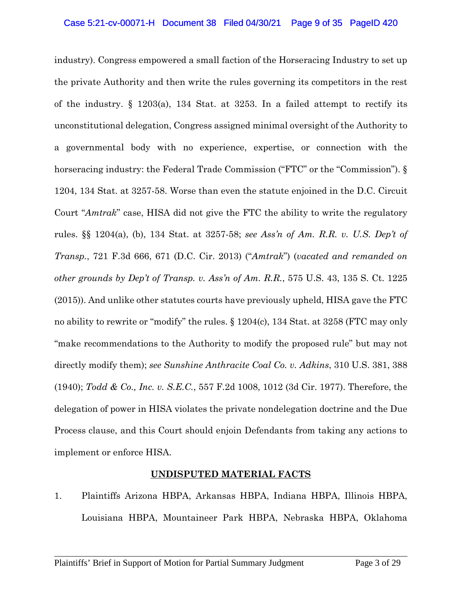industry). Congress empowered a small faction of the Horseracing Industry to set up the private Authority and then write the rules governing its competitors in the rest of the industry. § 1203(a), 134 Stat. at 3253. In a failed attempt to rectify its unconstitutional delegation, Congress assigned minimal oversight of the Authority to a governmental body with no experience, expertise, or connection with the horseracing industry: the Federal Trade Commission ("FTC" or the "Commission"). § 1204, 134 Stat. at 3257-58. Worse than even the statute enjoined in the D.C. Circuit Court "*Amtrak*" case, HISA did not give the FTC the ability to write the regulatory rules. §§ 1204(a), (b), 134 Stat. at 3257-58; *see Ass'n of Am. R.R. v. U.S. Dep't of Transp.*, 721 F.3d 666, 671 (D.C. Cir. 2013) ("*Amtrak*") (*vacated and remanded on other grounds by Dep't of Transp. v. Ass'n of Am. R.R.*, 575 U.S. 43, 135 S. Ct. 1225 (2015)). And unlike other statutes courts have previously upheld, HISA gave the FTC no ability to rewrite or "modify" the rules. § 1204(c), 134 Stat. at 3258 (FTC may only "make recommendations to the Authority to modify the proposed rule" but may not directly modify them); *see Sunshine Anthracite Coal Co. v. Adkins*, 310 U.S. 381, 388 (1940); *Todd & Co., Inc. v. S.E.C.*, 557 F.2d 1008, 1012 (3d Cir. 1977). Therefore, the delegation of power in HISA violates the private nondelegation doctrine and the Due Process clause, and this Court should enjoin Defendants from taking any actions to implement or enforce HISA.

#### **UNDISPUTED MATERIAL FACTS**

1. Plaintiffs Arizona HBPA, Arkansas HBPA, Indiana HBPA, Illinois HBPA, Louisiana HBPA, Mountaineer Park HBPA, Nebraska HBPA, Oklahoma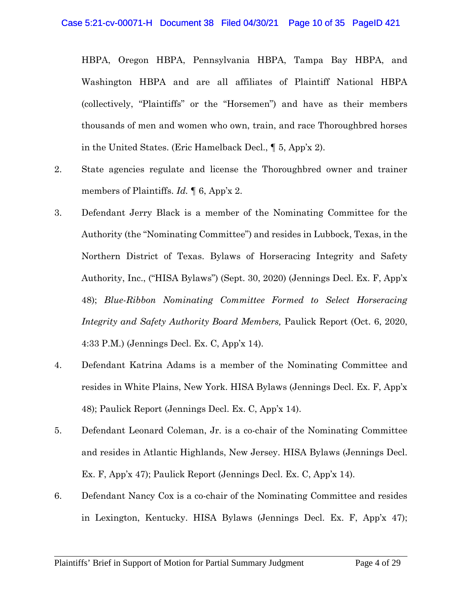HBPA, Oregon HBPA, Pennsylvania HBPA, Tampa Bay HBPA, and Washington HBPA and are all affiliates of Plaintiff National HBPA (collectively, "Plaintiffs" or the "Horsemen") and have as their members thousands of men and women who own, train, and race Thoroughbred horses in the United States. (Eric Hamelback Decl., ¶ 5, App'x 2).

- 2. State agencies regulate and license the Thoroughbred owner and trainer members of Plaintiffs. *Id.* ¶ 6, App'x 2.
- 3. Defendant Jerry Black is a member of the Nominating Committee for the Authority (the "Nominating Committee") and resides in Lubbock, Texas, in the Northern District of Texas. Bylaws of Horseracing Integrity and Safety Authority, Inc., ("HISA Bylaws") (Sept. 30, 2020) (Jennings Decl. Ex. F, App'x 48); *Blue-Ribbon Nominating Committee Formed to Select Horseracing Integrity and Safety Authority Board Members,* Paulick Report (Oct. 6, 2020, 4:33 P.M.) (Jennings Decl. Ex. C, App'x 14).
- 4. Defendant Katrina Adams is a member of the Nominating Committee and resides in White Plains, New York. HISA Bylaws (Jennings Decl. Ex. F, App'x 48); Paulick Report (Jennings Decl. Ex. C, App'x 14).
- 5. Defendant Leonard Coleman, Jr. is a co-chair of the Nominating Committee and resides in Atlantic Highlands, New Jersey. HISA Bylaws (Jennings Decl. Ex. F, App'x 47); Paulick Report (Jennings Decl. Ex. C, App'x 14).
- 6. Defendant Nancy Cox is a co-chair of the Nominating Committee and resides in Lexington, Kentucky. HISA Bylaws (Jennings Decl. Ex. F, App'x 47);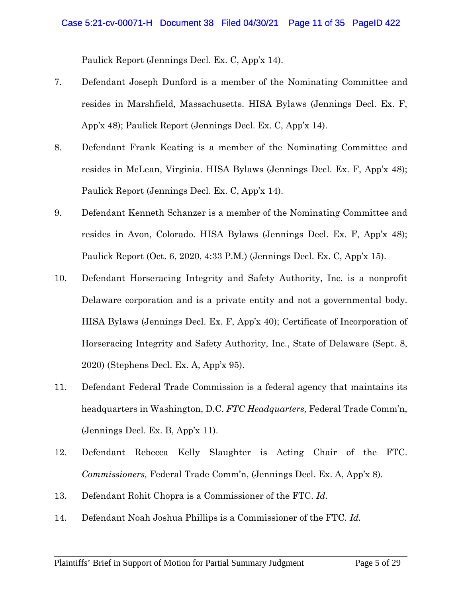Paulick Report (Jennings Decl. Ex. C, App'x 14).

- 7. Defendant Joseph Dunford is a member of the Nominating Committee and resides in Marshfield, Massachusetts. HISA Bylaws (Jennings Decl. Ex. F, App'x 48); Paulick Report (Jennings Decl. Ex. C, App'x 14).
- 8. Defendant Frank Keating is a member of the Nominating Committee and resides in McLean, Virginia. HISA Bylaws (Jennings Decl. Ex. F, App'x 48); Paulick Report (Jennings Decl. Ex. C, App'x 14).
- 9. Defendant Kenneth Schanzer is a member of the Nominating Committee and resides in Avon, Colorado. HISA Bylaws (Jennings Decl. Ex. F, App'x 48); Paulick Report (Oct. 6, 2020, 4:33 P.M.) (Jennings Decl. Ex. C, App'x 15).
- 10. Defendant Horseracing Integrity and Safety Authority, Inc. is a nonprofit Delaware corporation and is a private entity and not a governmental body. HISA Bylaws (Jennings Decl. Ex. F, App'x 40); Certificate of Incorporation of Horseracing Integrity and Safety Authority, Inc., State of Delaware (Sept. 8, 2020) (Stephens Decl. Ex. A, App'x 95).
- 11. Defendant Federal Trade Commission is a federal agency that maintains its headquarters in Washington, D.C. *FTC Headquarters,* Federal Trade Comm'n, (Jennings Decl. Ex. B, App'x 11).
- 12. Defendant Rebecca Kelly Slaughter is Acting Chair of the FTC. *Commissioners,* Federal Trade Comm'n, (Jennings Decl. Ex. A, App'x 8).
- 13. Defendant Rohit Chopra is a Commissioner of the FTC. *Id.*
- 14. Defendant Noah Joshua Phillips is a Commissioner of the FTC. *Id.*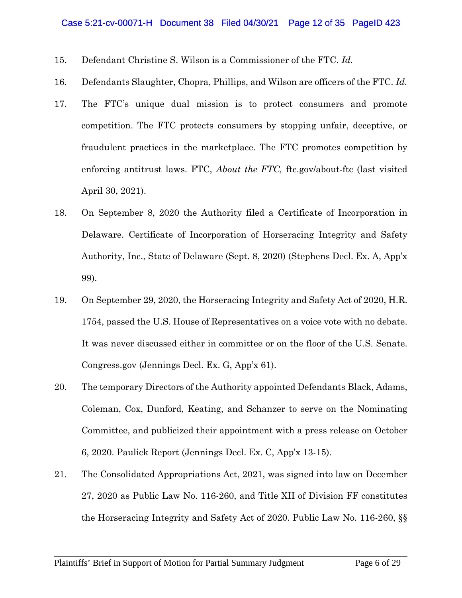- 15. Defendant Christine S. Wilson is a Commissioner of the FTC. *Id.*
- 16. Defendants Slaughter, Chopra, Phillips, and Wilson are officers of the FTC. *Id.*
- 17. The FTC's unique dual mission is to protect consumers and promote competition. The FTC protects consumers by stopping unfair, deceptive, or fraudulent practices in the marketplace. The FTC promotes competition by enforcing antitrust laws. FTC, *About the FTC,* ftc.gov/about-ftc (last visited April 30, 2021).
- 18. On September 8, 2020 the Authority filed a Certificate of Incorporation in Delaware. Certificate of Incorporation of Horseracing Integrity and Safety Authority, Inc., State of Delaware (Sept. 8, 2020) (Stephens Decl. Ex. A, App'x 99).
- 19. On September 29, 2020, the Horseracing Integrity and Safety Act of 2020, H.R. 1754, passed the U.S. House of Representatives on a voice vote with no debate. It was never discussed either in committee or on the floor of the U.S. Senate. Congress.gov (Jennings Decl. Ex. G, App'x 61).
- 20. The temporary Directors of the Authority appointed Defendants Black, Adams, Coleman, Cox, Dunford, Keating, and Schanzer to serve on the Nominating Committee, and publicized their appointment with a press release on October 6, 2020. Paulick Report (Jennings Decl. Ex. C, App'x 13-15).
- 21. The Consolidated Appropriations Act, 2021, was signed into law on December 27, 2020 as Public Law No. 116-260, and Title XII of Division FF constitutes the Horseracing Integrity and Safety Act of 2020. Public Law No. 116-260, §§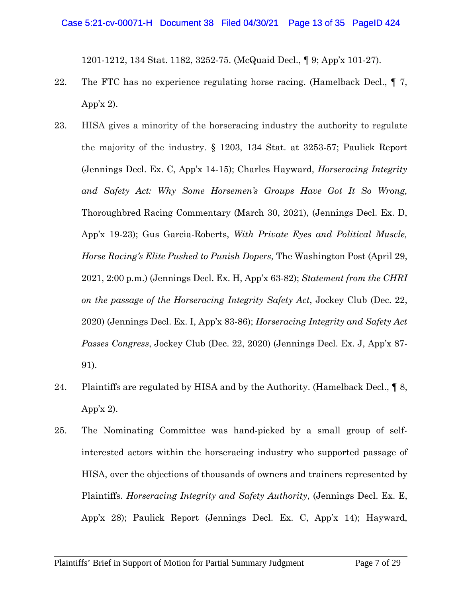1201-1212, 134 Stat. 1182, 3252-75. (McQuaid Decl., ¶ 9; App'x 101-27).

- 22. The FTC has no experience regulating horse racing. (Hamelback Decl.,  $\P$  7, App'x  $2$ ).
- 23. HISA gives a minority of the horseracing industry the authority to regulate the majority of the industry. § 1203, 134 Stat. at 3253-57; Paulick Report (Jennings Decl. Ex. C, App'x 14-15); Charles Hayward, *Horseracing Integrity and Safety Act: Why Some Horsemen's Groups Have Got It So Wrong,*  Thoroughbred Racing Commentary (March 30, 2021), (Jennings Decl. Ex. D, App'x 19-23); Gus Garcia-Roberts, *With Private Eyes and Political Muscle, Horse Racing's Elite Pushed to Punish Dopers,* The Washington Post (April 29, 2021, 2:00 p.m.) (Jennings Decl. Ex. H, App'x 63-82); *Statement from the CHRI on the passage of the Horseracing Integrity Safety Act*, Jockey Club (Dec. 22, 2020) (Jennings Decl. Ex. I, App'x 83-86); *Horseracing Integrity and Safety Act Passes Congress*, Jockey Club (Dec. 22, 2020) (Jennings Decl. Ex. J, App'x 87- 91).
- 24. Plaintiffs are regulated by HISA and by the Authority. (Hamelback Decl., ¶ 8, App'x  $2$ ).
- 25. The Nominating Committee was hand-picked by a small group of selfinterested actors within the horseracing industry who supported passage of HISA, over the objections of thousands of owners and trainers represented by Plaintiffs. *Horseracing Integrity and Safety Authority*, (Jennings Decl. Ex. E, App'x 28); Paulick Report (Jennings Decl. Ex. C, App'x 14); Hayward,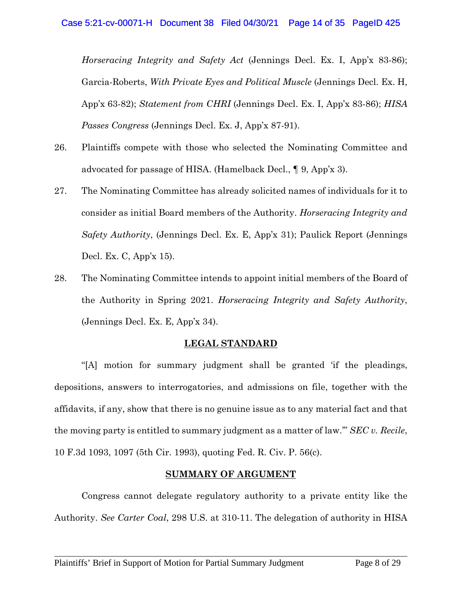*Horseracing Integrity and Safety Act* (Jennings Decl. Ex. I, App'x 83-86); Garcia-Roberts, *With Private Eyes and Political Muscle* (Jennings Decl. Ex. H, App'x 63-82); *Statement from CHRI* (Jennings Decl. Ex. I, App'x 83-86); *HISA Passes Congress* (Jennings Decl. Ex. J, App'x 87-91).

- 26. Plaintiffs compete with those who selected the Nominating Committee and advocated for passage of HISA. (Hamelback Decl., ¶ 9, App'x 3).
- 27. The Nominating Committee has already solicited names of individuals for it to consider as initial Board members of the Authority. *Horseracing Integrity and Safety Authority*, (Jennings Decl. Ex. E, App'x 31); Paulick Report (Jennings Decl. Ex. C, App'x 15).
- 28. The Nominating Committee intends to appoint initial members of the Board of the Authority in Spring 2021. *Horseracing Integrity and Safety Authority*, (Jennings Decl. Ex. E, App'x 34).

## **LEGAL STANDARD**

"[A] motion for summary judgment shall be granted 'if the pleadings, depositions, answers to interrogatories, and admissions on file, together with the affidavits, if any, show that there is no genuine issue as to any material fact and that the moving party is entitled to summary judgment as a matter of law.'" *SEC v. Recile*, 10 F.3d 1093, 1097 (5th Cir. 1993), quoting Fed. R. Civ. P. 56(c).

#### **SUMMARY OF ARGUMENT**

Congress cannot delegate regulatory authority to a private entity like the Authority. *See Carter Coal*, 298 U.S. at 310-11. The delegation of authority in HISA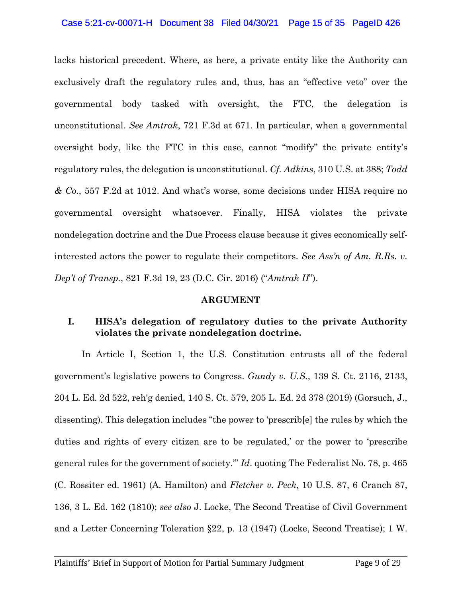#### Case 5:21-cv-00071-H Document 38 Filed 04/30/21 Page 15 of 35 PageID 426

lacks historical precedent. Where, as here, a private entity like the Authority can exclusively draft the regulatory rules and, thus, has an "effective veto" over the governmental body tasked with oversight, the FTC, the delegation is unconstitutional. *See Amtrak*, 721 F.3d at 671. In particular, when a governmental oversight body, like the FTC in this case, cannot "modify" the private entity's regulatory rules, the delegation is unconstitutional. *Cf. Adkins*, 310 U.S. at 388; *Todd & Co.*, 557 F.2d at 1012. And what's worse, some decisions under HISA require no governmental oversight whatsoever. Finally, HISA violates the private nondelegation doctrine and the Due Process clause because it gives economically selfinterested actors the power to regulate their competitors. *See Ass'n of Am. R.Rs. v. Dep't of Transp.*, 821 F.3d 19, 23 (D.C. Cir. 2016) ("*Amtrak II*").

#### **ARGUMENT**

## **I. HISA's delegation of regulatory duties to the private Authority violates the private nondelegation doctrine.**

In Article I, Section 1, the U.S. Constitution entrusts all of the federal government's legislative powers to Congress. *Gundy v. U.S.*, 139 S. Ct. 2116, 2133, 204 L. Ed. 2d 522, reh'g denied, 140 S. Ct. 579, 205 L. Ed. 2d 378 (2019) (Gorsuch, J., dissenting). This delegation includes "the power to 'prescrib[e] the rules by which the duties and rights of every citizen are to be regulated,' or the power to 'prescribe general rules for the government of society.'" *Id*. quoting The Federalist No. 78, p. 465 (C. Rossiter ed. 1961) (A. Hamilton) and *Fletcher v. Peck*, 10 U.S. 87, 6 Cranch 87, 136, 3 L. Ed. 162 (1810); *see also* J. Locke, The Second Treatise of Civil Government and a Letter Concerning Toleration §22, p. 13 (1947) (Locke, Second Treatise); 1 W.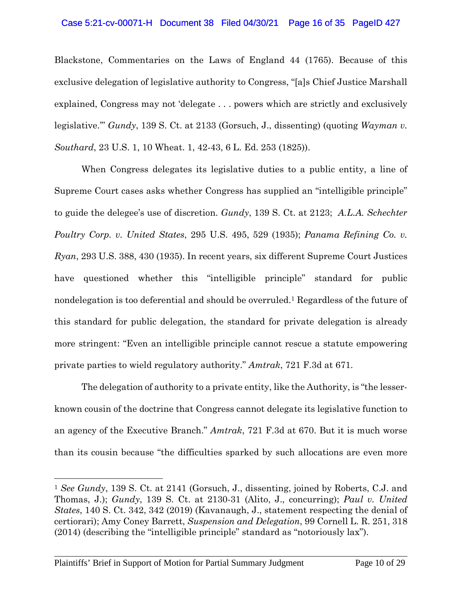#### Case 5:21-cv-00071-H Document 38 Filed 04/30/21 Page 16 of 35 PageID 427

Blackstone, Commentaries on the Laws of England 44 (1765). Because of this exclusive delegation of legislative authority to Congress, "[a]s Chief Justice Marshall explained, Congress may not 'delegate . . . powers which are strictly and exclusively legislative.'" *Gundy*, 139 S. Ct. at 2133 (Gorsuch, J., dissenting) (quoting *Wayman v. Southard*, 23 U.S. 1, 10 Wheat. 1, 42-43, 6 L. Ed. 253 (1825)).

When Congress delegates its legislative duties to a public entity, a line of Supreme Court cases asks whether Congress has supplied an "intelligible principle" to guide the delegee's use of discretion. *Gundy*, 139 S. Ct. at 2123; *A.L.A. Schechter Poultry Corp. v. United States*, 295 U.S. 495, 529 (1935); *Panama Refining Co. v. Ryan*, 293 U.S. 388, 430 (1935). In recent years, six different Supreme Court Justices have questioned whether this "intelligible principle" standard for public nondelegation is too deferential and should be overruled.1 Regardless of the future of this standard for public delegation, the standard for private delegation is already more stringent: "Even an intelligible principle cannot rescue a statute empowering private parties to wield regulatory authority." *Amtrak*, 721 F.3d at 671.

The delegation of authority to a private entity, like the Authority, is "the lesserknown cousin of the doctrine that Congress cannot delegate its legislative function to an agency of the Executive Branch." *Amtrak*, 721 F.3d at 670. But it is much worse than its cousin because "the difficulties sparked by such allocations are even more

 $\overline{a}$ 

<sup>1</sup> *See Gundy*, 139 S. Ct. at 2141 (Gorsuch, J., dissenting, joined by Roberts, C.J. and Thomas, J.); *Gundy*, 139 S. Ct. at 2130-31 (Alito, J., concurring); *Paul v. United States*, 140 S. Ct. 342, 342 (2019) (Kavanaugh, J., statement respecting the denial of certiorari); Amy Coney Barrett, *Suspension and Delegation*, 99 Cornell L. R. 251, 318 (2014) (describing the "intelligible principle" standard as "notoriously lax").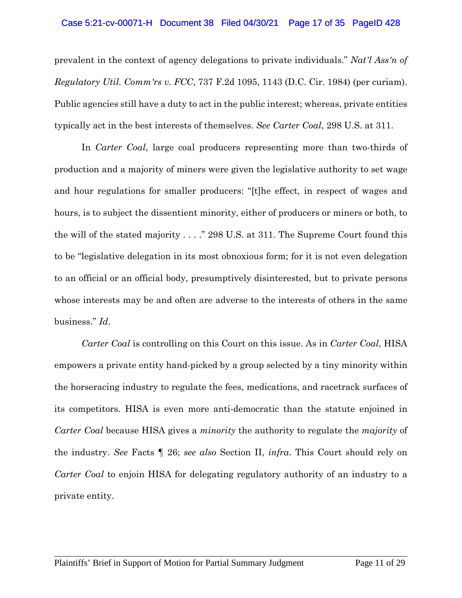#### Case 5:21-cv-00071-H Document 38 Filed 04/30/21 Page 17 of 35 PageID 428

prevalent in the context of agency delegations to private individuals." *Nat'l Ass'n of Regulatory Util. Comm'rs v. FCC*, 737 F.2d 1095, 1143 (D.C. Cir. 1984) (per curiam). Public agencies still have a duty to act in the public interest; whereas, private entities typically act in the best interests of themselves. *See Carter Coal*, 298 U.S. at 311.

In *Carter Coal*, large coal producers representing more than two-thirds of production and a majority of miners were given the legislative authority to set wage and hour regulations for smaller producers: "[t]he effect, in respect of wages and hours, is to subject the dissentient minority, either of producers or miners or both, to the will of the stated majority . . . ." 298 U.S. at 311. The Supreme Court found this to be "legislative delegation in its most obnoxious form; for it is not even delegation to an official or an official body, presumptively disinterested, but to private persons whose interests may be and often are adverse to the interests of others in the same business." *Id*.

*Carter Coal* is controlling on this Court on this issue. As in *Carter Coal*, HISA empowers a private entity hand-picked by a group selected by a tiny minority within the horseracing industry to regulate the fees, medications, and racetrack surfaces of its competitors. HISA is even more anti-democratic than the statute enjoined in *Carter Coal* because HISA gives a *minority* the authority to regulate the *majority* of the industry. *See* Facts ¶ 26; *see also* Section II, *infra*. This Court should rely on *Carter Coal* to enjoin HISA for delegating regulatory authority of an industry to a private entity.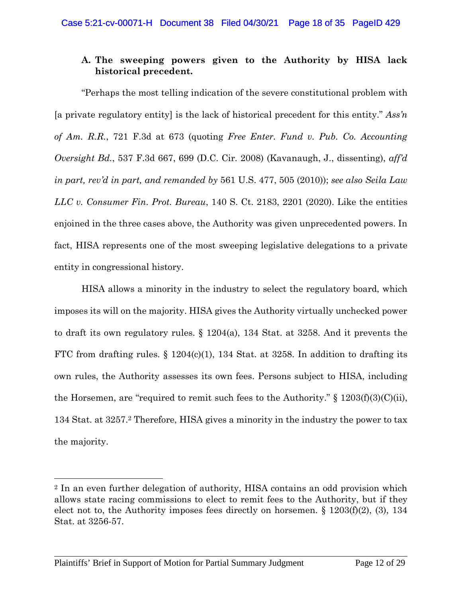## **A. The sweeping powers given to the Authority by HISA lack historical precedent.**

"Perhaps the most telling indication of the severe constitutional problem with [a private regulatory entity] is the lack of historical precedent for this entity." *Ass'n of Am. R.R.*, 721 F.3d at 673 (quoting *Free Enter. Fund v. Pub. Co. Accounting Oversight Bd.*, 537 F.3d 667, 699 (D.C. Cir. 2008) (Kavanaugh, J., dissenting), *aff'd in part, rev'd in part, and remanded by* 561 U.S. 477, 505 (2010)); *see also Seila Law LLC v. Consumer Fin. Prot. Bureau*, 140 S. Ct. 2183, 2201 (2020). Like the entities enjoined in the three cases above, the Authority was given unprecedented powers. In fact, HISA represents one of the most sweeping legislative delegations to a private entity in congressional history.

HISA allows a minority in the industry to select the regulatory board, which imposes its will on the majority. HISA gives the Authority virtually unchecked power to draft its own regulatory rules.  $\S$  1204(a), 134 Stat. at 3258. And it prevents the FTC from drafting rules.  $\S$  1204(c)(1), 134 Stat. at 3258. In addition to drafting its own rules, the Authority assesses its own fees. Persons subject to HISA, including the Horsemen, are "required to remit such fees to the Authority."  $\S$  1203(f)(3)(C)(ii), 134 Stat. at 3257.2 Therefore, HISA gives a minority in the industry the power to tax the majority.

 $\overline{a}$ 

<sup>2</sup> In an even further delegation of authority, HISA contains an odd provision which allows state racing commissions to elect to remit fees to the Authority, but if they elect not to, the Authority imposes fees directly on horsemen. § 1203(f)(2), (3), 134 Stat. at 3256-57.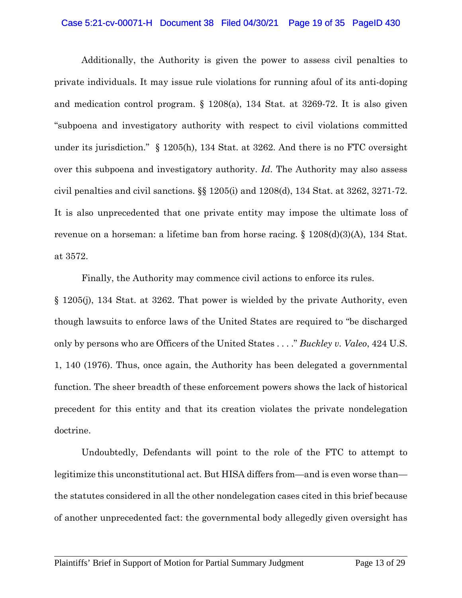#### Case 5:21-cv-00071-H Document 38 Filed 04/30/21 Page 19 of 35 PageID 430

Additionally, the Authority is given the power to assess civil penalties to private individuals. It may issue rule violations for running afoul of its anti-doping and medication control program.  $\S$  1208(a), 134 Stat. at 3269-72. It is also given "subpoena and investigatory authority with respect to civil violations committed under its jurisdiction." § 1205(h), 134 Stat. at 3262. And there is no FTC oversight over this subpoena and investigatory authority. *Id*. The Authority may also assess civil penalties and civil sanctions.  $\S$  1205(i) and 1208(d), 134 Stat. at 3262, 3271-72. It is also unprecedented that one private entity may impose the ultimate loss of revenue on a horseman: a lifetime ban from horse racing. § 1208(d)(3)(A), 134 Stat. at 3572.

Finally, the Authority may commence civil actions to enforce its rules. § 1205(j), 134 Stat. at 3262. That power is wielded by the private Authority, even though lawsuits to enforce laws of the United States are required to "be discharged only by persons who are Officers of the United States . . . ." *Buckley v. Valeo*, 424 U.S. 1, 140 (1976). Thus, once again, the Authority has been delegated a governmental function. The sheer breadth of these enforcement powers shows the lack of historical precedent for this entity and that its creation violates the private nondelegation doctrine.

Undoubtedly, Defendants will point to the role of the FTC to attempt to legitimize this unconstitutional act. But HISA differs from—and is even worse than the statutes considered in all the other nondelegation cases cited in this brief because of another unprecedented fact: the governmental body allegedly given oversight has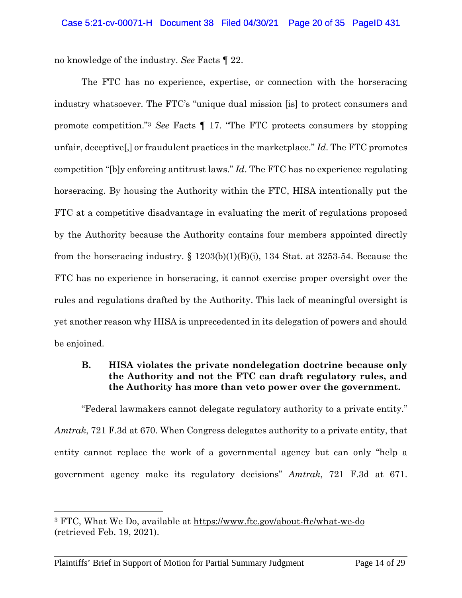no knowledge of the industry. *See* Facts ¶ 22.

The FTC has no experience, expertise, or connection with the horseracing industry whatsoever. The FTC's "unique dual mission [is] to protect consumers and promote competition."<sup>3</sup> *See* Facts ¶ 17. "The FTC protects consumers by stopping unfair, deceptive[,] or fraudulent practices in the marketplace." *Id*. The FTC promotes competition "[b]y enforcing antitrust laws." *Id*. The FTC has no experience regulating horseracing. By housing the Authority within the FTC, HISA intentionally put the FTC at a competitive disadvantage in evaluating the merit of regulations proposed by the Authority because the Authority contains four members appointed directly from the horseracing industry.  $\S$  1203(b)(1)(B)(i), 134 Stat. at 3253-54. Because the FTC has no experience in horseracing, it cannot exercise proper oversight over the rules and regulations drafted by the Authority. This lack of meaningful oversight is yet another reason why HISA is unprecedented in its delegation of powers and should be enjoined.

## **B. HISA violates the private nondelegation doctrine because only the Authority and not the FTC can draft regulatory rules, and the Authority has more than veto power over the government.**

"Federal lawmakers cannot delegate regulatory authority to a private entity." *Amtrak*, 721 F.3d at 670. When Congress delegates authority to a private entity, that entity cannot replace the work of a governmental agency but can only "help a government agency make its regulatory decisions" *Amtrak*, 721 F.3d at 671.

l

<sup>3</sup> FTC, What We Do, available at https://www.ftc.gov/about-ftc/what-we-do (retrieved Feb. 19, 2021).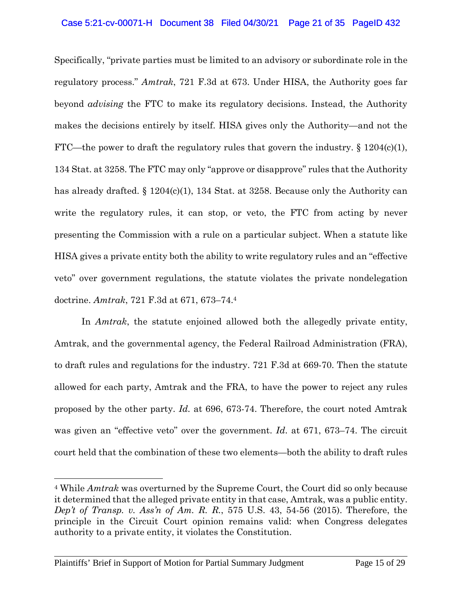Specifically, "private parties must be limited to an advisory or subordinate role in the regulatory process." *Amtrak*, 721 F.3d at 673. Under HISA, the Authority goes far beyond *advising* the FTC to make its regulatory decisions. Instead, the Authority makes the decisions entirely by itself. HISA gives only the Authority—and not the FTC—the power to draft the regulatory rules that govern the industry.  $\S 1204(c)(1)$ , 134 Stat. at 3258. The FTC may only "approve or disapprove" rules that the Authority has already drafted.  $\S 1204(c)(1)$ , 134 Stat. at 3258. Because only the Authority can write the regulatory rules, it can stop, or veto, the FTC from acting by never presenting the Commission with a rule on a particular subject. When a statute like HISA gives a private entity both the ability to write regulatory rules and an "effective veto" over government regulations, the statute violates the private nondelegation doctrine. *Amtrak*, 721 F.3d at 671, 673–74.<sup>4</sup>

In *Amtrak*, the statute enjoined allowed both the allegedly private entity, Amtrak, and the governmental agency, the Federal Railroad Administration (FRA), to draft rules and regulations for the industry. 721 F.3d at 669-70. Then the statute allowed for each party, Amtrak and the FRA, to have the power to reject any rules proposed by the other party. *Id.* at 696, 673-74. Therefore, the court noted Amtrak was given an "effective veto" over the government. *Id*. at 671, 673–74. The circuit court held that the combination of these two elements—both the ability to draft rules

 $\overline{a}$ 

<sup>4</sup> While *Amtrak* was overturned by the Supreme Court, the Court did so only because it determined that the alleged private entity in that case, Amtrak, was a public entity. *Dep't of Transp. v. Ass'n of Am. R. R.*, 575 U.S. 43, 54-56 (2015). Therefore, the principle in the Circuit Court opinion remains valid: when Congress delegates authority to a private entity, it violates the Constitution.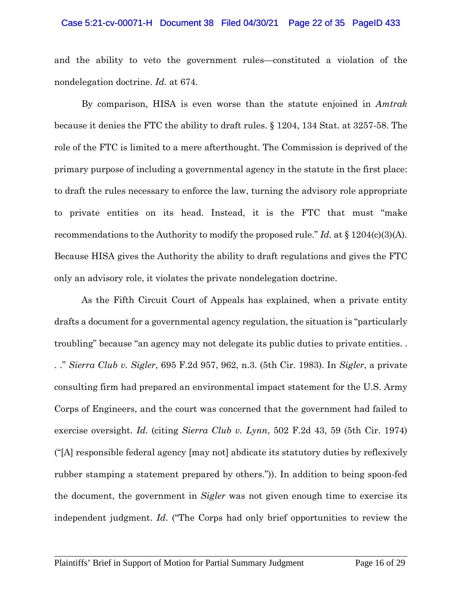#### Case 5:21-cv-00071-H Document 38 Filed 04/30/21 Page 22 of 35 PageID 433

and the ability to veto the government rules—constituted a violation of the nondelegation doctrine. *Id.* at 674.

By comparison, HISA is even worse than the statute enjoined in *Amtrak* because it denies the FTC the ability to draft rules. § 1204, 134 Stat. at 3257-58. The role of the FTC is limited to a mere afterthought. The Commission is deprived of the primary purpose of including a governmental agency in the statute in the first place: to draft the rules necessary to enforce the law, turning the advisory role appropriate to private entities on its head. Instead, it is the FTC that must "make recommendations to the Authority to modify the proposed rule." *Id.* at § 1204(c)(3)(A). Because HISA gives the Authority the ability to draft regulations and gives the FTC only an advisory role, it violates the private nondelegation doctrine.

As the Fifth Circuit Court of Appeals has explained, when a private entity drafts a document for a governmental agency regulation, the situation is "particularly troubling" because "an agency may not delegate its public duties to private entities. . . ." *Sierra Club v. Sigler*, 695 F.2d 957, 962, n.3. (5th Cir. 1983). In *Sigler*, a private consulting firm had prepared an environmental impact statement for the U.S. Army Corps of Engineers, and the court was concerned that the government had failed to exercise oversight. *Id*. (citing *Sierra Club v. Lynn*, 502 F.2d 43, 59 (5th Cir. 1974) ("[A] responsible federal agency [may not] abdicate its statutory duties by reflexively rubber stamping a statement prepared by others.")). In addition to being spoon-fed the document, the government in *Sigler* was not given enough time to exercise its independent judgment. *Id*. ("The Corps had only brief opportunities to review the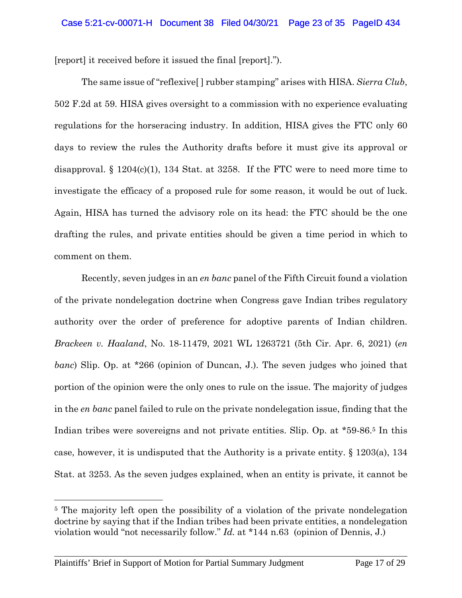[report] it received before it issued the final [report].").

The same issue of "reflexive[ ] rubber stamping" arises with HISA. *Sierra Club*, 502 F.2d at 59. HISA gives oversight to a commission with no experience evaluating regulations for the horseracing industry. In addition, HISA gives the FTC only 60 days to review the rules the Authority drafts before it must give its approval or disapproval. §  $1204(c)(1)$ , 134 Stat. at 3258. If the FTC were to need more time to investigate the efficacy of a proposed rule for some reason, it would be out of luck. Again, HISA has turned the advisory role on its head: the FTC should be the one drafting the rules, and private entities should be given a time period in which to comment on them.

Recently, seven judges in an *en banc* panel of the Fifth Circuit found a violation of the private nondelegation doctrine when Congress gave Indian tribes regulatory authority over the order of preference for adoptive parents of Indian children. *Brackeen v. Haaland*, No. 18-11479, 2021 WL 1263721 (5th Cir. Apr. 6, 2021) (*en banc*) Slip. Op. at \*266 (opinion of Duncan, J.). The seven judges who joined that portion of the opinion were the only ones to rule on the issue. The majority of judges in the *en banc* panel failed to rule on the private nondelegation issue, finding that the Indian tribes were sovereigns and not private entities. Slip. Op. at \*59-86.5 In this case, however, it is undisputed that the Authority is a private entity. § 1203(a), 134 Stat. at 3253. As the seven judges explained, when an entity is private, it cannot be

 $\overline{a}$ 

<sup>5</sup> The majority left open the possibility of a violation of the private nondelegation doctrine by saying that if the Indian tribes had been private entities, a nondelegation violation would "not necessarily follow." *Id.* at \*144 n.63 (opinion of Dennis, J.)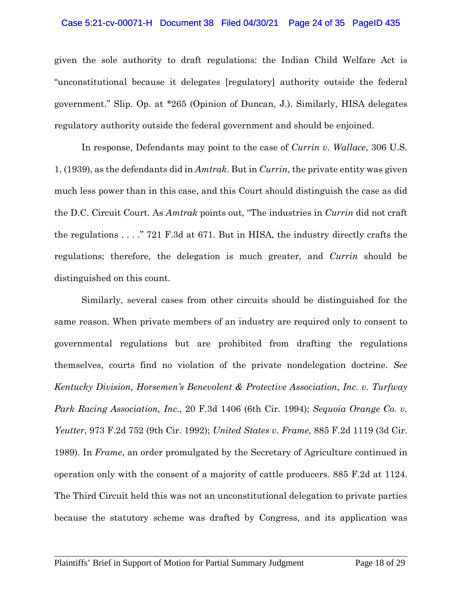#### Case 5:21-cv-00071-H Document 38 Filed 04/30/21 Page 24 of 35 PageID 435

given the sole authority to draft regulations: the Indian Child Welfare Act is "unconstitutional because it delegates [regulatory] authority outside the federal government." Slip. Op. at \*265 (Opinion of Duncan, J.). Similarly, HISA delegates regulatory authority outside the federal government and should be enjoined.

In response, Defendants may point to the case of *Currin v. Wallace*, 306 U.S. 1, (1939), as the defendants did in *Amtrak*. But in *Currin*, the private entity was given much less power than in this case, and this Court should distinguish the case as did the D.C. Circuit Court. As *Amtrak* points out, "The industries in *Currin* did not craft the regulations . . . ." 721 F.3d at 671. But in HISA, the industry directly crafts the regulations; therefore, the delegation is much greater, and *Currin* should be distinguished on this count.

Similarly, several cases from other circuits should be distinguished for the same reason. When private members of an industry are required only to consent to governmental regulations but are prohibited from drafting the regulations themselves, courts find no violation of the private nondelegation doctrine. *See Kentucky Division, Horsemen's Benevolent & Protective Association, Inc. v. Turfway Park Racing Association, Inc.*, 20 F.3d 1406 (6th Cir. 1994); *Sequoia Orange Co. v. Yeutter*, 973 F.2d 752 (9th Cir. 1992); *United States v. Frame,* 885 F.2d 1119 (3d Cir. 1989). In *Frame*, an order promulgated by the Secretary of Agriculture continued in operation only with the consent of a majority of cattle producers. 885 F.2d at 1124. The Third Circuit held this was not an unconstitutional delegation to private parties because the statutory scheme was drafted by Congress, and its application was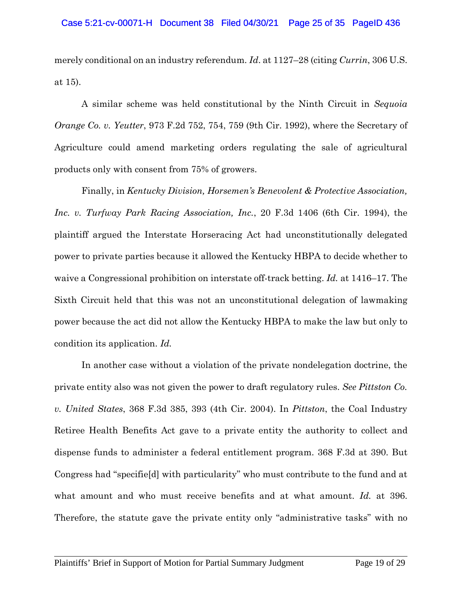merely conditional on an industry referendum. *Id*. at 1127–28 (citing *Currin*, 306 U.S. at 15).

A similar scheme was held constitutional by the Ninth Circuit in *Sequoia Orange Co. v. Yeutter*, 973 F.2d 752, 754, 759 (9th Cir. 1992), where the Secretary of Agriculture could amend marketing orders regulating the sale of agricultural products only with consent from 75% of growers.

Finally, in *Kentucky Division, Horsemen's Benevolent & Protective Association, Inc. v. Turfway Park Racing Association, Inc.*, 20 F.3d 1406 (6th Cir. 1994), the plaintiff argued the Interstate Horseracing Act had unconstitutionally delegated power to private parties because it allowed the Kentucky HBPA to decide whether to waive a Congressional prohibition on interstate off-track betting. *Id.* at 1416–17. The Sixth Circuit held that this was not an unconstitutional delegation of lawmaking power because the act did not allow the Kentucky HBPA to make the law but only to condition its application. *Id.* 

In another case without a violation of the private nondelegation doctrine, the private entity also was not given the power to draft regulatory rules. *See Pittston Co. v. United States*, 368 F.3d 385, 393 (4th Cir. 2004). In *Pittston*, the Coal Industry Retiree Health Benefits Act gave to a private entity the authority to collect and dispense funds to administer a federal entitlement program. 368 F.3d at 390. But Congress had "specifie[d] with particularity" who must contribute to the fund and at what amount and who must receive benefits and at what amount. *Id.* at 396. Therefore, the statute gave the private entity only "administrative tasks" with no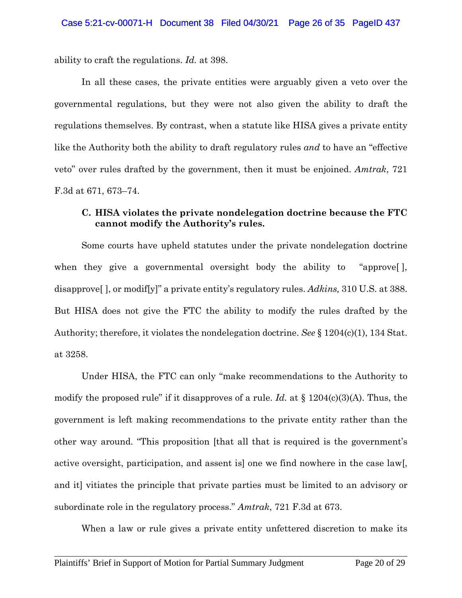ability to craft the regulations. *Id.* at 398.

In all these cases, the private entities were arguably given a veto over the governmental regulations, but they were not also given the ability to draft the regulations themselves. By contrast, when a statute like HISA gives a private entity like the Authority both the ability to draft regulatory rules *and* to have an "effective veto" over rules drafted by the government, then it must be enjoined. *Amtrak*, 721 F.3d at 671, 673–74.

## **C. HISA violates the private nondelegation doctrine because the FTC cannot modify the Authority's rules.**

Some courts have upheld statutes under the private nondelegation doctrine when they give a governmental oversight body the ability to "approve[ ], disapprove[ ], or modif[y]" a private entity's regulatory rules. *Adkins,* 310 U.S. at 388. But HISA does not give the FTC the ability to modify the rules drafted by the Authority; therefore, it violates the nondelegation doctrine. *See* § 1204(c)(1), 134 Stat. at 3258.

Under HISA, the FTC can only "make recommendations to the Authority to modify the proposed rule" if it disapproves of a rule. *Id.* at § 1204(c)(3)(A). Thus, the government is left making recommendations to the private entity rather than the other way around. "This proposition [that all that is required is the government's active oversight, participation, and assent is] one we find nowhere in the case law[, and it] vitiates the principle that private parties must be limited to an advisory or subordinate role in the regulatory process." *Amtrak*, 721 F.3d at 673.

When a law or rule gives a private entity unfettered discretion to make its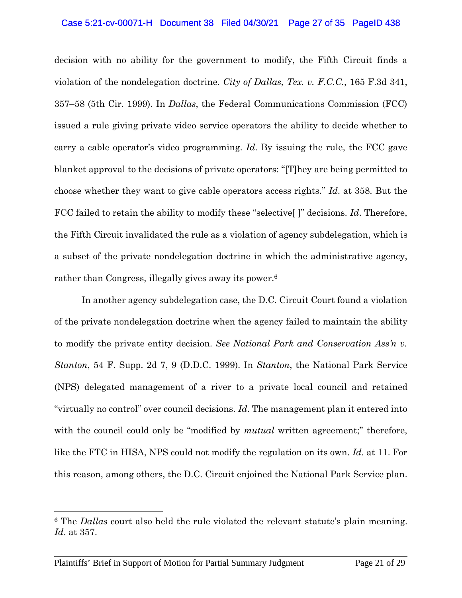#### Case 5:21-cv-00071-H Document 38 Filed 04/30/21 Page 27 of 35 PageID 438

decision with no ability for the government to modify, the Fifth Circuit finds a violation of the nondelegation doctrine. *City of Dallas, Tex. v. F.C.C.*, 165 F.3d 341, 357–58 (5th Cir. 1999). In *Dallas*, the Federal Communications Commission (FCC) issued a rule giving private video service operators the ability to decide whether to carry a cable operator's video programming. *Id*. By issuing the rule, the FCC gave blanket approval to the decisions of private operators: "[T]hey are being permitted to choose whether they want to give cable operators access rights." *Id*. at 358. But the FCC failed to retain the ability to modify these "selective[ ]" decisions. *Id*. Therefore, the Fifth Circuit invalidated the rule as a violation of agency subdelegation, which is a subset of the private nondelegation doctrine in which the administrative agency, rather than Congress, illegally gives away its power.<sup>6</sup>

In another agency subdelegation case, the D.C. Circuit Court found a violation of the private nondelegation doctrine when the agency failed to maintain the ability to modify the private entity decision. *See National Park and Conservation Ass'n v. Stanton*, 54 F. Supp. 2d 7, 9 (D.D.C. 1999). In *Stanton*, the National Park Service (NPS) delegated management of a river to a private local council and retained "virtually no control" over council decisions. *Id*. The management plan it entered into with the council could only be "modified by *mutual* written agreement;" therefore, like the FTC in HISA, NPS could not modify the regulation on its own. *Id*. at 11. For this reason, among others, the D.C. Circuit enjoined the National Park Service plan.

l

<sup>6</sup> The *Dallas* court also held the rule violated the relevant statute's plain meaning. *Id*. at 357.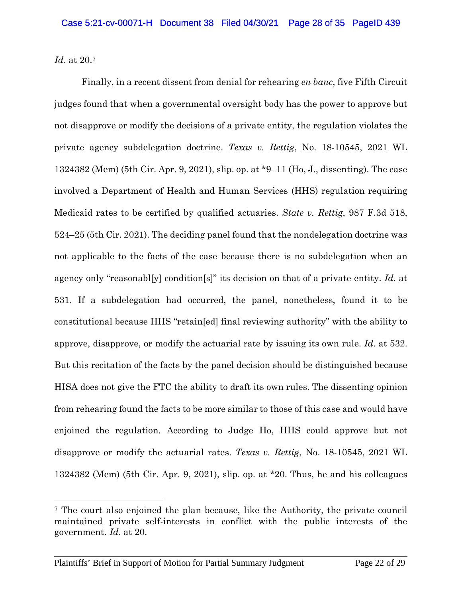*Id*. at 20.<sup>7</sup>

 $\overline{a}$ 

Finally, in a recent dissent from denial for rehearing *en banc*, five Fifth Circuit judges found that when a governmental oversight body has the power to approve but not disapprove or modify the decisions of a private entity, the regulation violates the private agency subdelegation doctrine. *Texas v. Rettig*, No. 18-10545, 2021 WL 1324382 (Mem) (5th Cir. Apr. 9, 2021), slip. op. at \*9–11 (Ho, J., dissenting). The case involved a Department of Health and Human Services (HHS) regulation requiring Medicaid rates to be certified by qualified actuaries. *State v. Rettig*, 987 F.3d 518, 524–25 (5th Cir. 2021). The deciding panel found that the nondelegation doctrine was not applicable to the facts of the case because there is no subdelegation when an agency only "reasonabl[y] condition[s]" its decision on that of a private entity. *Id*. at 531. If a subdelegation had occurred, the panel, nonetheless, found it to be constitutional because HHS "retain[ed] final reviewing authority" with the ability to approve, disapprove, or modify the actuarial rate by issuing its own rule. *Id*. at 532. But this recitation of the facts by the panel decision should be distinguished because HISA does not give the FTC the ability to draft its own rules. The dissenting opinion from rehearing found the facts to be more similar to those of this case and would have enjoined the regulation. According to Judge Ho, HHS could approve but not disapprove or modify the actuarial rates. *Texas v. Rettig*, No. 18-10545, 2021 WL 1324382 (Mem) (5th Cir. Apr. 9, 2021), slip. op. at \*20. Thus, he and his colleagues

<sup>7</sup> The court also enjoined the plan because, like the Authority, the private council maintained private self-interests in conflict with the public interests of the government. *Id*. at 20.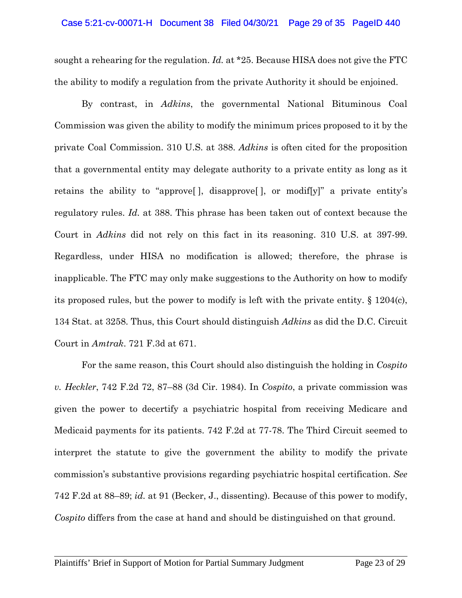sought a rehearing for the regulation. *Id.* at \*25. Because HISA does not give the FTC the ability to modify a regulation from the private Authority it should be enjoined.

By contrast, in *Adkins*, the governmental National Bituminous Coal Commission was given the ability to modify the minimum prices proposed to it by the private Coal Commission. 310 U.S. at 388. *Adkins* is often cited for the proposition that a governmental entity may delegate authority to a private entity as long as it retains the ability to "approve[ ], disapprove[ ], or modif[y]" a private entity's regulatory rules. *Id.* at 388. This phrase has been taken out of context because the Court in *Adkins* did not rely on this fact in its reasoning. 310 U.S. at 397-99. Regardless, under HISA no modification is allowed; therefore, the phrase is inapplicable. The FTC may only make suggestions to the Authority on how to modify its proposed rules, but the power to modify is left with the private entity. § 1204(c), 134 Stat. at 3258. Thus, this Court should distinguish *Adkins* as did the D.C. Circuit Court in *Amtrak*. 721 F.3d at 671.

For the same reason, this Court should also distinguish the holding in *Cospito v. Heckler*, 742 F.2d 72, 87–88 (3d Cir. 1984). In *Cospito*, a private commission was given the power to decertify a psychiatric hospital from receiving Medicare and Medicaid payments for its patients. 742 F.2d at 77-78. The Third Circuit seemed to interpret the statute to give the government the ability to modify the private commission's substantive provisions regarding psychiatric hospital certification. *See* 742 F.2d at 88–89; *id.* at 91 (Becker, J., dissenting). Because of this power to modify, *Cospito* differs from the case at hand and should be distinguished on that ground.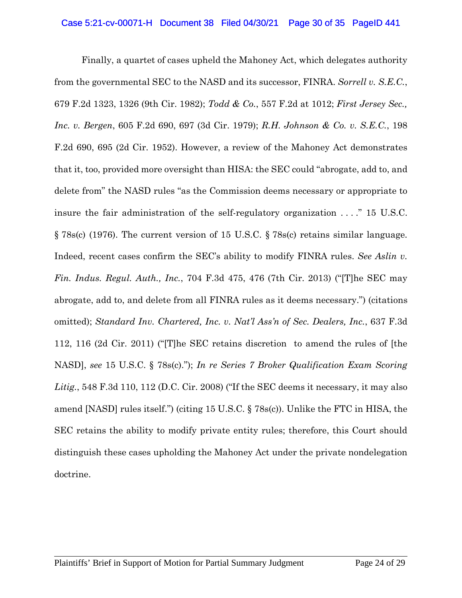Finally, a quartet of cases upheld the Mahoney Act, which delegates authority from the governmental SEC to the NASD and its successor, FINRA. *Sorrell v. S.E.C.*, 679 F.2d 1323, 1326 (9th Cir. 1982); *Todd & Co.*, 557 F.2d at 1012; *First Jersey Sec., Inc. v. Bergen*, 605 F.2d 690, 697 (3d Cir. 1979); *R.H. Johnson & Co. v. S.E.C.*, 198 F.2d 690, 695 (2d Cir. 1952). However, a review of the Mahoney Act demonstrates that it, too, provided more oversight than HISA: the SEC could "abrogate, add to, and delete from" the NASD rules "as the Commission deems necessary or appropriate to insure the fair administration of the self-regulatory organization . . . ." 15 U.S.C. § 78s(c) (1976). The current version of 15 U.S.C. § 78s(c) retains similar language. Indeed, recent cases confirm the SEC's ability to modify FINRA rules. *See Aslin v. Fin. Indus. Regul. Auth., Inc.*, 704 F.3d 475, 476 (7th Cir. 2013) ("[T]he SEC may abrogate, add to, and delete from all FINRA rules as it deems necessary.") (citations omitted); *Standard Inv. Chartered, Inc. v. Nat'l Ass'n of Sec. Dealers, Inc.*, 637 F.3d 112, 116 (2d Cir. 2011) ("[T]he SEC retains discretion to amend the rules of [the NASD], *see* 15 U.S.C. § 78s(c)."); *In re Series 7 Broker Qualification Exam Scoring*  Litig., 548 F.3d 110, 112 (D.C. Cir. 2008) ("If the SEC deems it necessary, it may also amend [NASD] rules itself.") (citing 15 U.S.C. § 78s(c)). Unlike the FTC in HISA, the SEC retains the ability to modify private entity rules; therefore, this Court should distinguish these cases upholding the Mahoney Act under the private nondelegation doctrine.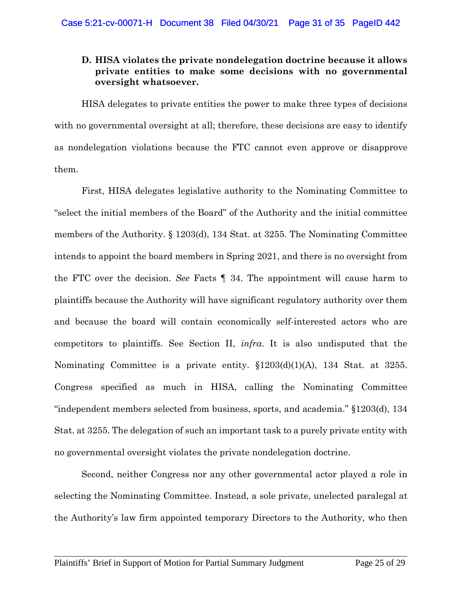## **D. HISA violates the private nondelegation doctrine because it allows private entities to make some decisions with no governmental oversight whatsoever.**

HISA delegates to private entities the power to make three types of decisions with no governmental oversight at all; therefore, these decisions are easy to identify as nondelegation violations because the FTC cannot even approve or disapprove them.

First, HISA delegates legislative authority to the Nominating Committee to "select the initial members of the Board" of the Authority and the initial committee members of the Authority. § 1203(d), 134 Stat. at 3255. The Nominating Committee intends to appoint the board members in Spring 2021, and there is no oversight from the FTC over the decision. *See* Facts ¶ 34. The appointment will cause harm to plaintiffs because the Authority will have significant regulatory authority over them and because the board will contain economically self-interested actors who are competitors to plaintiffs. See Section II, *infra*. It is also undisputed that the Nominating Committee is a private entity. §1203(d)(1)(A), 134 Stat. at 3255. Congress specified as much in HISA, calling the Nominating Committee "independent members selected from business, sports, and academia." §1203(d), 134 Stat. at 3255. The delegation of such an important task to a purely private entity with no governmental oversight violates the private nondelegation doctrine.

Second, neither Congress nor any other governmental actor played a role in selecting the Nominating Committee. Instead, a sole private, unelected paralegal at the Authority's law firm appointed temporary Directors to the Authority, who then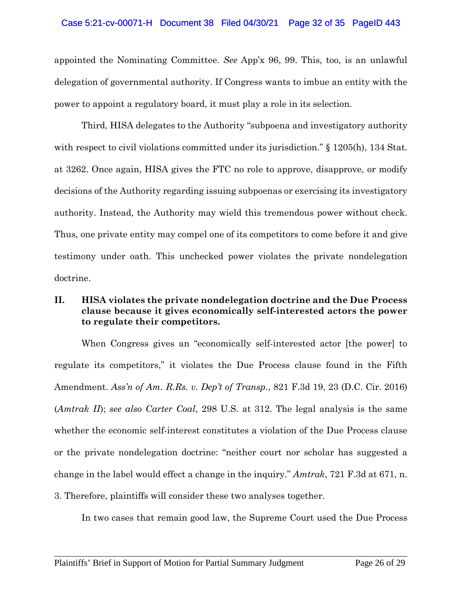#### Case 5:21-cv-00071-H Document 38 Filed 04/30/21 Page 32 of 35 PageID 443

appointed the Nominating Committee. *See* App'x 96, 99. This, too, is an unlawful delegation of governmental authority. If Congress wants to imbue an entity with the power to appoint a regulatory board, it must play a role in its selection.

Third, HISA delegates to the Authority "subpoena and investigatory authority with respect to civil violations committed under its jurisdiction." § 1205(h), 134 Stat. at 3262. Once again, HISA gives the FTC no role to approve, disapprove, or modify decisions of the Authority regarding issuing subpoenas or exercising its investigatory authority. Instead, the Authority may wield this tremendous power without check. Thus, one private entity may compel one of its competitors to come before it and give testimony under oath. This unchecked power violates the private nondelegation doctrine.

## **II. HISA violates the private nondelegation doctrine and the Due Process clause because it gives economically self-interested actors the power to regulate their competitors.**

When Congress gives an "economically self-interested actor [the power] to regulate its competitors," it violates the Due Process clause found in the Fifth Amendment. *Ass'n of Am. R.Rs. v. Dep't of Transp.*, 821 F.3d 19, 23 (D.C. Cir. 2016) (*Amtrak II*); *see also Carter Coal*, 298 U.S. at 312. The legal analysis is the same whether the economic self-interest constitutes a violation of the Due Process clause or the private nondelegation doctrine: "neither court nor scholar has suggested a change in the label would effect a change in the inquiry." *Amtrak*, 721 F.3d at 671, n. 3. Therefore, plaintiffs will consider these two analyses together.

In two cases that remain good law, the Supreme Court used the Due Process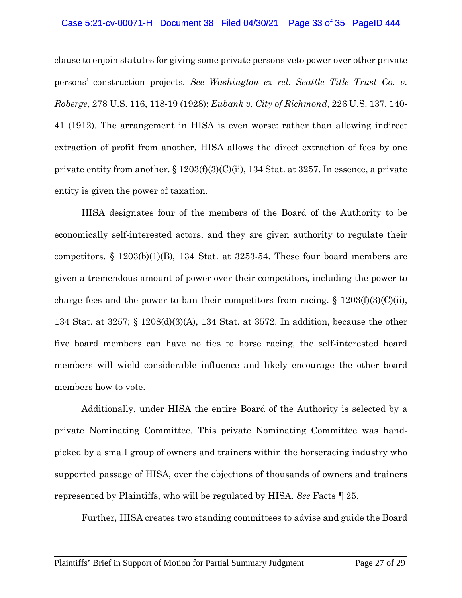#### Case 5:21-cv-00071-H Document 38 Filed 04/30/21 Page 33 of 35 PageID 444

clause to enjoin statutes for giving some private persons veto power over other private persons' construction projects. *See Washington ex rel. Seattle Title Trust Co. v. Roberge*, 278 U.S. 116, 118-19 (1928); *Eubank v. City of Richmond*, 226 U.S. 137, 140- 41 (1912). The arrangement in HISA is even worse: rather than allowing indirect extraction of profit from another, HISA allows the direct extraction of fees by one private entity from another.  $\S 1203(f)(3)(C)(ii)$ , 134 Stat. at 3257. In essence, a private entity is given the power of taxation.

HISA designates four of the members of the Board of the Authority to be economically self-interested actors, and they are given authority to regulate their competitors.  $\S$  1203(b)(1)(B), 134 Stat. at 3253-54. These four board members are given a tremendous amount of power over their competitors, including the power to charge fees and the power to ban their competitors from racing.  $\S 1203(f)(3)(C)(ii)$ , 134 Stat. at 3257; § 1208(d)(3)(A), 134 Stat. at 3572. In addition, because the other five board members can have no ties to horse racing, the self-interested board members will wield considerable influence and likely encourage the other board members how to vote.

Additionally, under HISA the entire Board of the Authority is selected by a private Nominating Committee. This private Nominating Committee was handpicked by a small group of owners and trainers within the horseracing industry who supported passage of HISA, over the objections of thousands of owners and trainers represented by Plaintiffs, who will be regulated by HISA. *See* Facts ¶ 25.

Further, HISA creates two standing committees to advise and guide the Board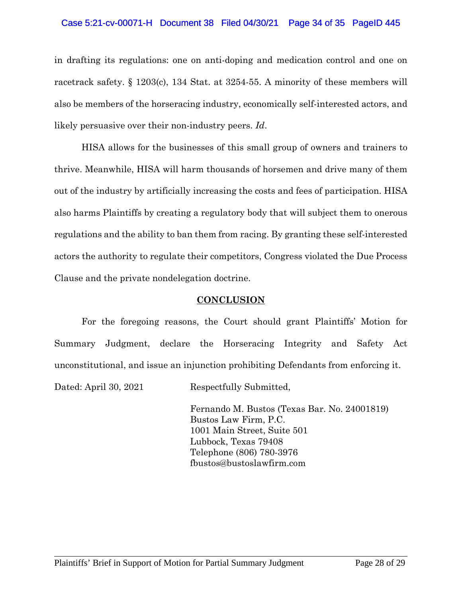#### Case 5:21-cv-00071-H Document 38 Filed 04/30/21 Page 34 of 35 PageID 445

in drafting its regulations: one on anti-doping and medication control and one on racetrack safety. § 1203(c), 134 Stat. at 3254-55. A minority of these members will also be members of the horseracing industry, economically self-interested actors, and likely persuasive over their non-industry peers. *Id*.

HISA allows for the businesses of this small group of owners and trainers to thrive. Meanwhile, HISA will harm thousands of horsemen and drive many of them out of the industry by artificially increasing the costs and fees of participation. HISA also harms Plaintiffs by creating a regulatory body that will subject them to onerous regulations and the ability to ban them from racing. By granting these self-interested actors the authority to regulate their competitors, Congress violated the Due Process Clause and the private nondelegation doctrine.

#### **CONCLUSION**

For the foregoing reasons, the Court should grant Plaintiffs' Motion for Summary Judgment, declare the Horseracing Integrity and Safety Act unconstitutional, and issue an injunction prohibiting Defendants from enforcing it.

Dated: April 30, 2021 Respectfully Submitted,

Fernando M. Bustos (Texas Bar. No. 24001819) Bustos Law Firm, P.C. 1001 Main Street, Suite 501 Lubbock, Texas 79408 Telephone (806) 780-3976 fbustos@bustoslawfirm.com